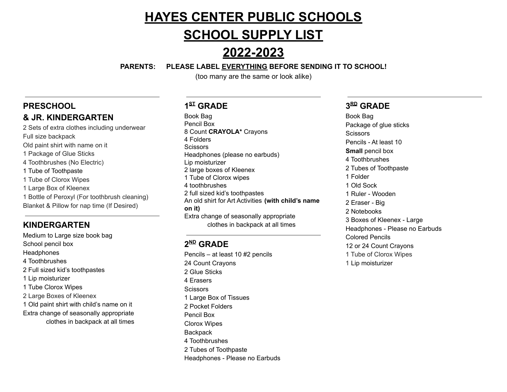# **HAYES CENTER PUBLIC SCHOOLS**

## **SCHOOL SUPPLY LIST**

# **2022-2023**

#### **PARENTS: PLEASE LABEL EVERYTHING BEFORE SENDING IT TO SCHOOL!**

(too many are the same or look alike)

## **PRESCHOOL**

## **& JR. KINDERGARTEN**

 Sets of extra clothes including underwear Full size backpack Old paint shirt with name on it Package of Glue Sticks Toothbrushes (No Electric) Tube of Toothpaste Tube of Clorox Wipes Large Box of Kleenex Bottle of Peroxyl (For toothbrush cleaning) Blanket & Pillow for nap time (If Desired)

### **KINDERGARTEN**

Medium to Large size book bag School pencil box **Headphones** 4 Toothbrushes 2 Full sized kid's toothpastes 1 Lip moisturizer 1 Tube Clorox Wipes 2 Large Boxes of Kleenex 1 Old paint shirt with child's name on it Extra change of seasonally appropriate clothes in backpack at all times

## **1 ST GRADE**

Book Bag Pencil Box 8 Count **CRAYOLA\*** Crayons 4 Folders **Scissors** Headphones (please no earbuds) Lip moisturizer 2 large boxes of Kleenex 1 Tube of Clorox wipes 4 toothbrushes 2 full sized kid's toothpastes An old shirt for Art Activities **(with child's name on it)** Extra change of seasonally appropriate clothes in backpack at all times

## **2 ND GRADE**

Pencils – at least 10 #2 pencils 24 Count Crayons 2 Glue Sticks 4 Erasers **Scissors** 1 Large Box of Tissues 2 Pocket Folders Pencil Box Clorox Wipes **Backpack** 4 Toothbrushes 2 Tubes of Toothpaste Headphones - Please no Earbuds

### **3 RD GRADE**

Book Bag Package of glue sticks **Scissors** Pencils - At least 10 **Small** pencil box 4 Toothbrushes 2 Tubes of Toothpaste 1 Folder 1 Old Sock 1 Ruler - Wooden 2 Eraser - Big 2 Notebooks 3 Boxes of Kleenex - Large Headphones - Please no Earbuds Colored Pencils 12 or 24 Count Crayons 1 Tube of Clorox Wipes 1 Lip moisturizer